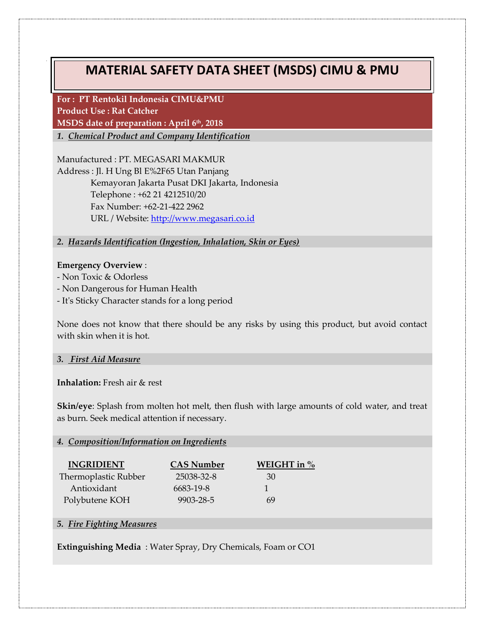# **MATERIAL SAFETY DATA SHEET (MSDS) CIMU & PMU**

**For : PT Rentokil Indonesia CIMU&PMU Product Use : Rat Catcher MSDS date of preparation : April 6th, 2018**

*1. Chemical Product and Company Identification*

Manufactured : PT. MEGASARI MAKMUR Address : Jl. H Ung Bl E%2F65 Utan Panjang Kemayoran Jakarta Pusat DKI Jakarta, Indonesia Telephone : +62 21 4212510/20 Fax Number: +62-21-422 2962 URL / Website: [http://www.megasari.co.id](http://www.megasari.co.id/)

*2. Hazards Identification (Ingestion, Inhalation, Skin or Eyes)*

## **Emergency Overview** :

- Non Toxic & Odorless

- Non Dangerous for Human Health
- It's Sticky Character stands for a long period

None does not know that there should be any risks by using this product, but avoid contact with skin when it is hot.

## *3. First Aid Measure*

**Inhalation:** Fresh air & rest

**Skin/eye**: Splash from molten hot melt, then flush with large amounts of cold water, and treat as burn. Seek medical attention if necessary.

## *4. Composition/Information on Ingredients*

| <b>INGRIDIENT</b>    | <b>CAS Number</b> | WEIGHT in $\%$ |
|----------------------|-------------------|----------------|
| Thermoplastic Rubber | 25038-32-8        | 30             |
| Antioxidant          | 6683-19-8         |                |
| Polybutene KOH       | 9903-28-5         | 69             |

# *5. Fire Fighting Measures*

**Extinguishing Media** : Water Spray, Dry Chemicals, Foam or CO1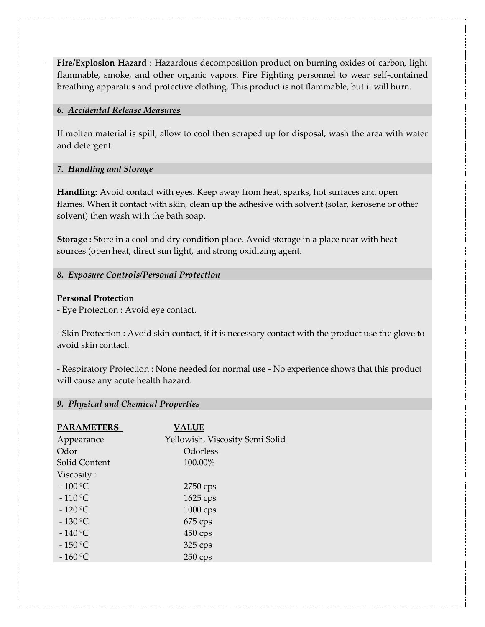**Fire/Explosion Hazard** : Hazardous decomposition product on burning oxides of carbon, light flammable, smoke, and other organic vapors. Fire Fighting personnel to wear self-contained breathing apparatus and protective clothing. This product is not flammable, but it will burn.

## *6. Accidental Release Measures*

If molten material is spill, allow to cool then scraped up for disposal, wash the area with water and detergent.

## *7. Handling and Storage*

**Handling:** Avoid contact with eyes. Keep away from heat, sparks, hot surfaces and open flames. When it contact with skin, clean up the adhesive with solvent (solar, kerosene or other solvent) then wash with the bath soap.

**Storage :** Store in a cool and dry condition place. Avoid storage in a place near with heat sources (open heat, direct sun light, and strong oxidizing agent.

# *8. Exposure Controls/Personal Protection*

# **Personal Protection**

- Eye Protection : Avoid eye contact.

- Skin Protection : Avoid skin contact, if it is necessary contact with the product use the glove to avoid skin contact.

- Respiratory Protection : None needed for normal use - No experience shows that this product will cause any acute health hazard.

# *9. Physical and Chemical Properties*

| <b>PARAMETERS</b> | <b>VALUE</b>                    |
|-------------------|---------------------------------|
| Appearance        | Yellowish, Viscosity Semi Solid |
| Odor              | Odorless                        |
| Solid Content     | 100.00%                         |
| Viscosity:        |                                 |
| $-100 °C$         | 2750 cps                        |
| $-110 °C$         | 1625 cps                        |
| $-120 °C$         | 1000 cps                        |
| $-130 °C$         | $675$ cps                       |
| $-140 °C$         | $450 \,\text{cps}$              |
| $-150 °C$         | 325 cps                         |
| $-160 °C$         | $250$ cps                       |